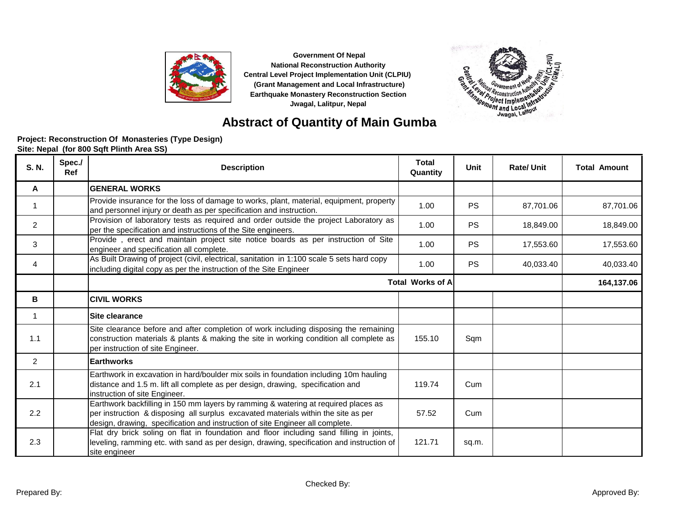



# **Abstract of Quantity of Main Gumba**

#### **Site: Nepal (for 800 Sqft Plinth Area SS) Project: Reconstruction Of Monasteries (Type Design)**

| S. N.          | Spec./<br><b>Ref</b> | <b>Description</b>                                                                                                                                                                                                                                        | <b>Total</b><br>Quantity | Unit      | <b>Rate/Unit</b> | <b>Total Amount</b> |
|----------------|----------------------|-----------------------------------------------------------------------------------------------------------------------------------------------------------------------------------------------------------------------------------------------------------|--------------------------|-----------|------------------|---------------------|
| A              |                      | <b>GENERAL WORKS</b>                                                                                                                                                                                                                                      |                          |           |                  |                     |
|                |                      | Provide insurance for the loss of damage to works, plant, material, equipment, property<br>and personnel injury or death as per specification and instruction.                                                                                            | 1.00                     | <b>PS</b> | 87,701.06        | 87,701.06           |
| $\overline{2}$ |                      | Provision of laboratory tests as required and order outside the project Laboratory as<br>per the specification and instructions of the Site engineers.                                                                                                    | 1.00                     | <b>PS</b> | 18,849.00        | 18,849.00           |
| 3              |                      | Provide, erect and maintain project site notice boards as per instruction of Site<br>engineer and specification all complete.                                                                                                                             | 1.00                     | <b>PS</b> | 17,553.60        | 17,553.60           |
| 4              |                      | As Built Drawing of project (civil, electrical, sanitation in 1:100 scale 5 sets hard copy<br>including digital copy as per the instruction of the Site Engineer                                                                                          | 1.00                     | <b>PS</b> | 40,033.40        | 40,033.40           |
|                |                      | <b>Total Works of A</b>                                                                                                                                                                                                                                   |                          |           |                  | 164,137.06          |
| в              |                      | <b>CIVIL WORKS</b>                                                                                                                                                                                                                                        |                          |           |                  |                     |
| $\mathbf{1}$   |                      | Site clearance                                                                                                                                                                                                                                            |                          |           |                  |                     |
| 1.1            |                      | Site clearance before and after completion of work including disposing the remaining<br>construction materials & plants & making the site in working condition all complete as<br>per instruction of site Engineer.                                       | 155.10                   | Sqm       |                  |                     |
| 2              |                      | <b>Earthworks</b>                                                                                                                                                                                                                                         |                          |           |                  |                     |
| 2.1            |                      | Earthwork in excavation in hard/boulder mix soils in foundation including 10m hauling<br>distance and 1.5 m. lift all complete as per design, drawing, specification and<br>instruction of site Engineer.                                                 | 119.74                   | Cum       |                  |                     |
| 2.2            |                      | Earthwork backfilling in 150 mm layers by ramming & watering at required places as<br>per instruction & disposing all surplus excavated materials within the site as per<br>design, drawing, specification and instruction of site Engineer all complete. | 57.52                    | Cum       |                  |                     |
| 2.3            |                      | Flat dry brick soling on flat in foundation and floor including sand filling in joints,<br>leveling, ramming etc. with sand as per design, drawing, specification and instruction of<br>site engineer                                                     | 121.71                   | sq.m.     |                  |                     |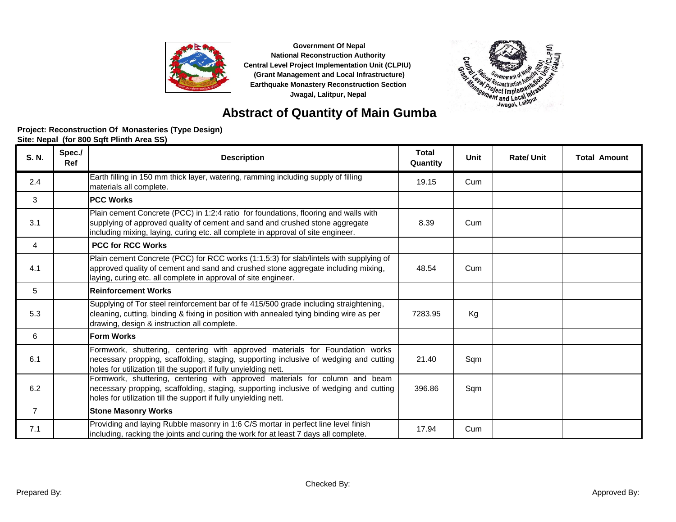



## **Abstract of Quantity of Main Gumba**

#### **Project: Reconstruction Of Monasteries (Type Design)**

| S. N.          | Spec./<br><b>Ref</b> | <b>Description</b>                                                                                                                                                                                                                                      | <b>Total</b><br>Quantity | Unit | <b>Rate/Unit</b> | <b>Total Amount</b> |
|----------------|----------------------|---------------------------------------------------------------------------------------------------------------------------------------------------------------------------------------------------------------------------------------------------------|--------------------------|------|------------------|---------------------|
| 2.4            |                      | Earth filling in 150 mm thick layer, watering, ramming including supply of filling<br>materials all complete.                                                                                                                                           | 19.15                    | Cum  |                  |                     |
| 3              |                      | <b>PCC Works</b>                                                                                                                                                                                                                                        |                          |      |                  |                     |
| 3.1            |                      | Plain cement Concrete (PCC) in 1:2:4 ratio for foundations, flooring and walls with<br>supplying of approved quality of cement and sand and crushed stone aggregate<br>including mixing, laying, curing etc. all complete in approval of site engineer. | 8.39                     | Cum  |                  |                     |
| 4              |                      | <b>PCC for RCC Works</b>                                                                                                                                                                                                                                |                          |      |                  |                     |
| 4.1            |                      | Plain cement Concrete (PCC) for RCC works (1:1.5:3) for slab/lintels with supplying of<br>approved quality of cement and sand and crushed stone aggregate including mixing,<br>laying, curing etc. all complete in approval of site engineer.           | 48.54                    | Cum  |                  |                     |
| 5              |                      | Reinforcement Works                                                                                                                                                                                                                                     |                          |      |                  |                     |
| 5.3            |                      | Supplying of Tor steel reinforcement bar of fe 415/500 grade including straightening,<br>cleaning, cutting, binding & fixing in position with annealed tying binding wire as per<br>drawing, design & instruction all complete.                         | 7283.95                  | Kg   |                  |                     |
| 6              |                      | <b>Form Works</b>                                                                                                                                                                                                                                       |                          |      |                  |                     |
| 6.1            |                      | Formwork, shuttering, centering with approved materials for Foundation works<br>necessary propping, scaffolding, staging, supporting inclusive of wedging and cutting<br>holes for utilization till the support if fully unyielding nett.               | 21.40                    | Sqm  |                  |                     |
| 6.2            |                      | Formwork, shuttering, centering with approved materials for column and beam<br>necessary propping, scaffolding, staging, supporting inclusive of wedging and cutting<br>holes for utilization till the support if fully unyielding nett.                | 396.86                   | Sqm  |                  |                     |
| $\overline{7}$ |                      | <b>Stone Masonry Works</b>                                                                                                                                                                                                                              |                          |      |                  |                     |
| 7.1            |                      | Providing and laying Rubble masonry in 1:6 C/S mortar in perfect line level finish<br>including, racking the joints and curing the work for at least 7 days all complete.                                                                               | 17.94                    | Cum  |                  |                     |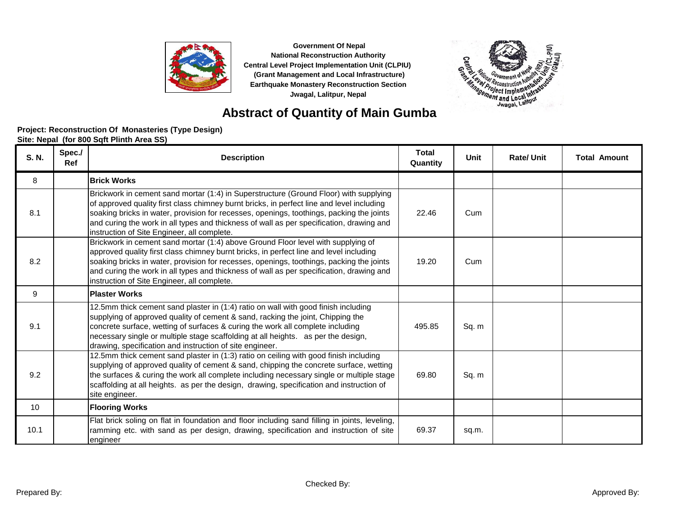



### **Abstract of Quantity of Main Gumba**

#### **Project: Reconstruction Of Monasteries (Type Design)**

| S. N. | Spec./<br>Ref | <b>Description</b>                                                                                                                                                                                                                                                                                                                                                                                                        | <b>Total</b><br>Quantity | Unit  | <b>Rate/Unit</b> | <b>Total Amount</b> |
|-------|---------------|---------------------------------------------------------------------------------------------------------------------------------------------------------------------------------------------------------------------------------------------------------------------------------------------------------------------------------------------------------------------------------------------------------------------------|--------------------------|-------|------------------|---------------------|
| 8     |               | <b>Brick Works</b>                                                                                                                                                                                                                                                                                                                                                                                                        |                          |       |                  |                     |
| 8.1   |               | Brickwork in cement sand mortar (1:4) in Superstructure (Ground Floor) with supplying<br>of approved quality first class chimney burnt bricks, in perfect line and level including<br>soaking bricks in water, provision for recesses, openings, toothings, packing the joints<br>and curing the work in all types and thickness of wall as per specification, drawing and<br>instruction of Site Engineer, all complete. | 22.46                    | Cum   |                  |                     |
| 8.2   |               | Brickwork in cement sand mortar (1:4) above Ground Floor level with supplying of<br>approved quality first class chimney burnt bricks, in perfect line and level including<br>soaking bricks in water, provision for recesses, openings, toothings, packing the joints<br>and curing the work in all types and thickness of wall as per specification, drawing and<br>instruction of Site Engineer, all complete.         | 19.20                    | Cum   |                  |                     |
| 9     |               | <b>Plaster Works</b>                                                                                                                                                                                                                                                                                                                                                                                                      |                          |       |                  |                     |
| 9.1   |               | 12.5mm thick cement sand plaster in (1:4) ratio on wall with good finish including<br>supplying of approved quality of cement & sand, racking the joint, Chipping the<br>concrete surface, wetting of surfaces & curing the work all complete including<br>necessary single or multiple stage scaffolding at all heights. as per the design,<br>drawing, specification and instruction of site engineer.                  | 495.85                   | Sq. m |                  |                     |
| 9.2   |               | 12.5mm thick cement sand plaster in (1:3) ratio on ceiling with good finish including<br>supplying of approved quality of cement & sand, chipping the concrete surface, wetting<br>the surfaces & curing the work all complete including necessary single or multiple stage<br>scaffolding at all heights. as per the design, drawing, specification and instruction of<br>site engineer.                                 | 69.80                    | Sq. m |                  |                     |
| 10    |               | <b>Flooring Works</b>                                                                                                                                                                                                                                                                                                                                                                                                     |                          |       |                  |                     |
| 10.1  |               | Flat brick soling on flat in foundation and floor including sand filling in joints, leveling,<br>ramming etc. with sand as per design, drawing, specification and instruction of site<br>engineer                                                                                                                                                                                                                         | 69.37                    | sq.m. |                  |                     |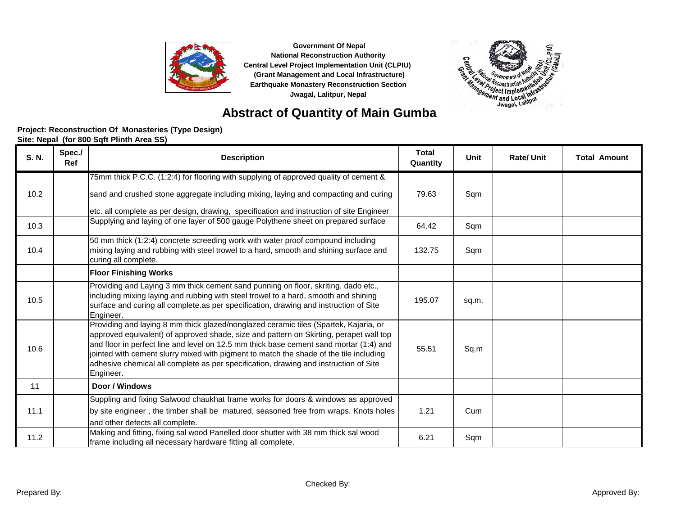



## **Abstract of Quantity of Main Gumba**

#### **Project: Reconstruction Of Monasteries (Type Design)**

| <b>S. N.</b> | Spec./<br>Ref | <b>Description</b>                                                                                                                                                                                                                                                                                                                                                                                                                                                      | <b>Total</b><br>Quantity | <b>Unit</b> | <b>Rate/Unit</b> | <b>Total Amount</b> |
|--------------|---------------|-------------------------------------------------------------------------------------------------------------------------------------------------------------------------------------------------------------------------------------------------------------------------------------------------------------------------------------------------------------------------------------------------------------------------------------------------------------------------|--------------------------|-------------|------------------|---------------------|
|              |               | 75mm thick P.C.C. (1:2:4) for flooring with supplying of approved quality of cement &                                                                                                                                                                                                                                                                                                                                                                                   |                          |             |                  |                     |
| 10.2         |               | sand and crushed stone aggregate including mixing, laying and compacting and curing                                                                                                                                                                                                                                                                                                                                                                                     | 79.63                    | Sqm         |                  |                     |
|              |               | etc. all complete as per design, drawing, specification and instruction of site Engineer                                                                                                                                                                                                                                                                                                                                                                                |                          |             |                  |                     |
| 10.3         |               | Supplying and laying of one layer of 500 gauge Polythene sheet on prepared surface                                                                                                                                                                                                                                                                                                                                                                                      | 64.42                    | Sqm         |                  |                     |
| 10.4         |               | 50 mm thick (1:2:4) concrete screeding work with water proof compound including<br>mixing laying and rubbing with steel trowel to a hard, smooth and shining surface and<br>curing all complete.                                                                                                                                                                                                                                                                        | 132.75                   | Sqm         |                  |                     |
|              |               | <b>Floor Finishing Works</b>                                                                                                                                                                                                                                                                                                                                                                                                                                            |                          |             |                  |                     |
| 10.5         |               | Providing and Laying 3 mm thick cement sand punning on floor, skriting, dado etc.,<br>including mixing laying and rubbing with steel trowel to a hard, smooth and shining<br>surface and curing all complete as per specification, drawing and instruction of Site<br>Engineer.                                                                                                                                                                                         | 195.07                   | sq.m.       |                  |                     |
| 10.6         |               | Providing and laying 8 mm thick glazed/nonglazed ceramic tiles (Spartek, Kajaria, or<br>approved equivalent) of approved shade, size and pattern on Skirting, perapet wall top<br>and floor in perfect line and level on 12.5 mm thick base cement sand mortar (1:4) and<br>jointed with cement slurry mixed with pigment to match the shade of the tile including<br>adhesive chemical all complete as per specification, drawing and instruction of Site<br>Engineer. | 55.51                    | Sq.m        |                  |                     |
| 11           |               | Door / Windows                                                                                                                                                                                                                                                                                                                                                                                                                                                          |                          |             |                  |                     |
| 11.1         |               | Suppling and fixing Salwood chaukhat frame works for doors & windows as approved<br>by site engineer, the timber shall be matured, seasoned free from wraps. Knots holes<br>and other defects all complete.                                                                                                                                                                                                                                                             | 1.21                     | Cum         |                  |                     |
| 11.2         |               | Making and fitting, fixing sal wood Panelled door shutter with 38 mm thick sal wood<br>frame including all necessary hardware fitting all complete.                                                                                                                                                                                                                                                                                                                     | 6.21                     | Sqm         |                  |                     |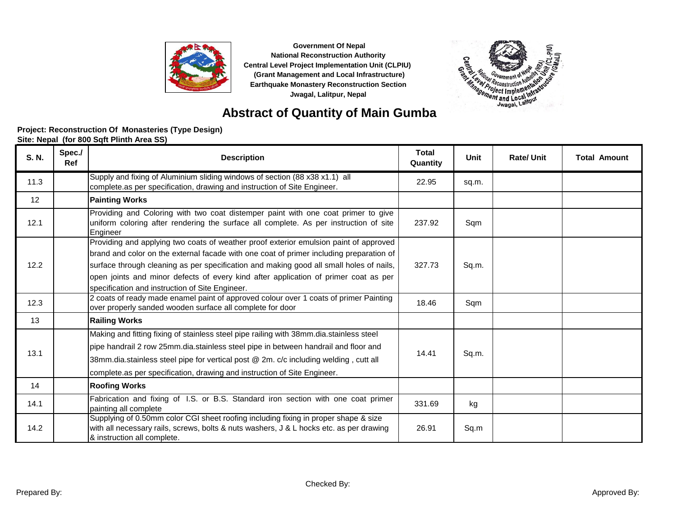



## **Abstract of Quantity of Main Gumba**

#### **Project: Reconstruction Of Monasteries (Type Design)**

| S. N. | Spec./<br>Ref | <b>Description</b>                                                                                                                                                                                                                                                                                                                                                                                                    | <b>Total</b><br>Quantity | Unit  | <b>Rate/Unit</b> | <b>Total Amount</b> |
|-------|---------------|-----------------------------------------------------------------------------------------------------------------------------------------------------------------------------------------------------------------------------------------------------------------------------------------------------------------------------------------------------------------------------------------------------------------------|--------------------------|-------|------------------|---------------------|
| 11.3  |               | Supply and fixing of Aluminium sliding windows of section (88 x38 x1.1) all<br>complete as per specification, drawing and instruction of Site Engineer.                                                                                                                                                                                                                                                               | 22.95                    | sq.m. |                  |                     |
| 12    |               | <b>Painting Works</b>                                                                                                                                                                                                                                                                                                                                                                                                 |                          |       |                  |                     |
| 12.1  |               | Providing and Coloring with two coat distemper paint with one coat primer to give<br>uniform coloring after rendering the surface all complete. As per instruction of site<br>Engineer                                                                                                                                                                                                                                | 237.92                   | Sqm   |                  |                     |
| 12.2  |               | Providing and applying two coats of weather proof exterior emulsion paint of approved<br>brand and color on the external facade with one coat of primer including preparation of<br>surface through cleaning as per specification and making good all small holes of nails,<br>open joints and minor defects of every kind after application of primer coat as per<br>specification and instruction of Site Engineer. | 327.73                   | Sq.m. |                  |                     |
| 12.3  |               | 2 coats of ready made enamel paint of approved colour over 1 coats of primer Painting<br>over properly sanded wooden surface all complete for door                                                                                                                                                                                                                                                                    | 18.46                    | Sqm   |                  |                     |
| 13    |               | <b>Railing Works</b>                                                                                                                                                                                                                                                                                                                                                                                                  |                          |       |                  |                     |
| 13.1  |               | Making and fitting fixing of stainless steel pipe railing with 38mm.dia.stainless steel<br>pipe handrail 2 row 25mm.dia.stainless steel pipe in between handrail and floor and<br>38mm.dia.stainless steel pipe for vertical post @ 2m. c/c including welding, cutt all<br>complete.as per specification, drawing and instruction of Site Engineer.                                                                   | 14.41                    | Sq.m. |                  |                     |
| 14    |               | <b>Roofing Works</b>                                                                                                                                                                                                                                                                                                                                                                                                  |                          |       |                  |                     |
| 14.1  |               | Fabrication and fixing of I.S. or B.S. Standard iron section with one coat primer<br>painting all complete                                                                                                                                                                                                                                                                                                            | 331.69                   | kg    |                  |                     |
| 14.2  |               | Supplying of 0.50mm color CGI sheet roofing including fixing in proper shape & size<br>with all necessary rails, screws, bolts & nuts washers, J & L hocks etc. as per drawing<br>& instruction all complete.                                                                                                                                                                                                         | 26.91                    | Sq.m  |                  |                     |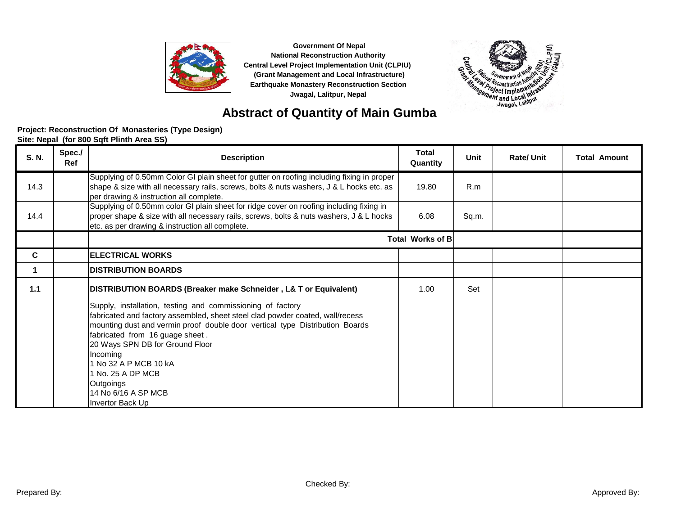



## **Abstract of Quantity of Main Gumba**

#### **Project: Reconstruction Of Monasteries (Type Design)**

| S. N. | Spec./<br>Ref | <b>Description</b>                                                                                                                                                                                                                                                                                                                                                                                                                                                                         | <b>Total</b><br>Quantity | Unit  | <b>Rate/Unit</b> | <b>Total Amount</b> |
|-------|---------------|--------------------------------------------------------------------------------------------------------------------------------------------------------------------------------------------------------------------------------------------------------------------------------------------------------------------------------------------------------------------------------------------------------------------------------------------------------------------------------------------|--------------------------|-------|------------------|---------------------|
| 14.3  |               | Supplying of 0.50mm Color GI plain sheet for gutter on roofing including fixing in proper<br>shape & size with all necessary rails, screws, bolts & nuts washers, J & L hocks etc. as<br>per drawing & instruction all complete.                                                                                                                                                                                                                                                           | 19.80                    | R.m   |                  |                     |
| 14.4  |               | Supplying of 0.50mm color GI plain sheet for ridge cover on roofing including fixing in<br>proper shape & size with all necessary rails, screws, bolts & nuts washers, J & L hocks<br>etc. as per drawing & instruction all complete.                                                                                                                                                                                                                                                      | 6.08                     | Sq.m. |                  |                     |
|       |               |                                                                                                                                                                                                                                                                                                                                                                                                                                                                                            | <b>Total Works of B</b>  |       |                  |                     |
| C     |               | <b>ELECTRICAL WORKS</b>                                                                                                                                                                                                                                                                                                                                                                                                                                                                    |                          |       |                  |                     |
|       |               | <b>IDISTRIBUTION BOARDS</b>                                                                                                                                                                                                                                                                                                                                                                                                                                                                |                          |       |                  |                     |
| 1.1   |               | DISTRIBUTION BOARDS (Breaker make Schneider , L& T or Equivalent)  <br>Supply, installation, testing and commissioning of factory<br>fabricated and factory assembled, sheet steel clad powder coated, wall/recess<br>mounting dust and vermin proof double door vertical type Distribution Boards<br>fabricated from 16 guage sheet.<br>20 Ways SPN DB for Ground Floor<br>Incoming<br>1 No 32 A P MCB 10 kA<br>1 No. 25 A DP MCB<br>Outgoings<br>14 No 6/16 A SP MCB<br>Invertor Back Up | 1.00                     | Set   |                  |                     |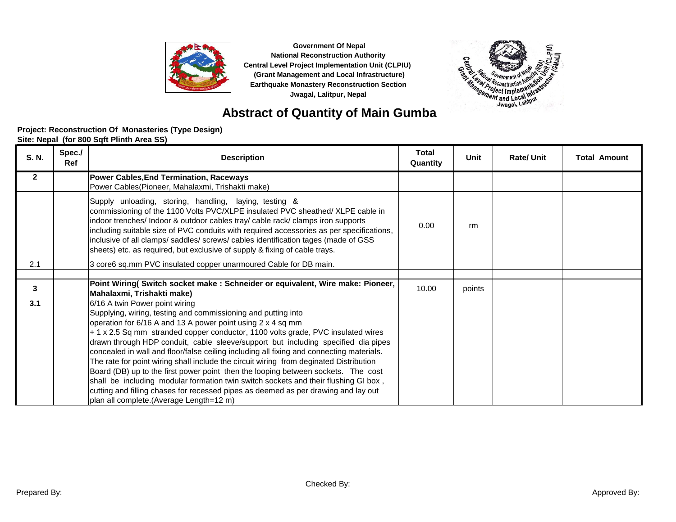



### **Abstract of Quantity of Main Gumba**

#### **Project: Reconstruction Of Monasteries (Type Design)**

| S. N.        | Spec./<br>Ref | <b>Description</b>                                                                                                                                                                                                                                                                                                                                                                                                                                                                                                                                                                                                                                                                                                                                                                                                                         | <b>Total</b><br>Quantity | Unit   | <b>Rate/Unit</b> | <b>Total Amount</b> |
|--------------|---------------|--------------------------------------------------------------------------------------------------------------------------------------------------------------------------------------------------------------------------------------------------------------------------------------------------------------------------------------------------------------------------------------------------------------------------------------------------------------------------------------------------------------------------------------------------------------------------------------------------------------------------------------------------------------------------------------------------------------------------------------------------------------------------------------------------------------------------------------------|--------------------------|--------|------------------|---------------------|
| $\mathbf{2}$ |               | <b>Power Cables, End Termination, Raceways</b>                                                                                                                                                                                                                                                                                                                                                                                                                                                                                                                                                                                                                                                                                                                                                                                             |                          |        |                  |                     |
|              |               | Power Cables(Pioneer, Mahalaxmi, Trishakti make)                                                                                                                                                                                                                                                                                                                                                                                                                                                                                                                                                                                                                                                                                                                                                                                           |                          |        |                  |                     |
|              |               | Supply unloading, storing, handling, laying, testing &<br>commissioning of the 1100 Volts PVC/XLPE insulated PVC sheathed/ XLPE cable in<br>indoor trenches/ Indoor & outdoor cables tray/ cable rack/ clamps iron supports<br>including suitable size of PVC conduits with required accessories as per specifications,<br>inclusive of all clamps/ saddles/ screws/ cables identification tages (made of GSS<br>sheets) etc. as required, but exclusive of supply & fixing of cable trays.                                                                                                                                                                                                                                                                                                                                                | 0.00                     | rm     |                  |                     |
| 2.1          |               | 3 core6 sq.mm PVC insulated copper unarmoured Cable for DB main.                                                                                                                                                                                                                                                                                                                                                                                                                                                                                                                                                                                                                                                                                                                                                                           |                          |        |                  |                     |
|              |               |                                                                                                                                                                                                                                                                                                                                                                                                                                                                                                                                                                                                                                                                                                                                                                                                                                            |                          |        |                  |                     |
| 3            |               | Point Wiring( Switch socket make: Schneider or equivalent, Wire make: Pioneer,<br>Mahalaxmi, Trishakti make)                                                                                                                                                                                                                                                                                                                                                                                                                                                                                                                                                                                                                                                                                                                               | 10.00                    | points |                  |                     |
| 3.1          |               | 6/16 A twin Power point wiring<br>Supplying, wiring, testing and commissioning and putting into<br>operation for 6/16 A and 13 A power point using 2 x 4 sq mm<br>+ 1 x 2.5 Sq mm stranded copper conductor, 1100 volts grade, PVC insulated wires<br>drawn through HDP conduit, cable sleeve/support but including specified dia pipes<br>concealed in wall and floor/false ceiling including all fixing and connecting materials.<br>The rate for point wiring shall include the circuit wiring from deginated Distribution<br>Board (DB) up to the first power point then the looping between sockets. The cost<br>shall be including modular formation twin switch sockets and their flushing GI box,<br>cutting and filling chases for recessed pipes as deemed as per drawing and lay out<br>plan all complete.(Average Length=12 m) |                          |        |                  |                     |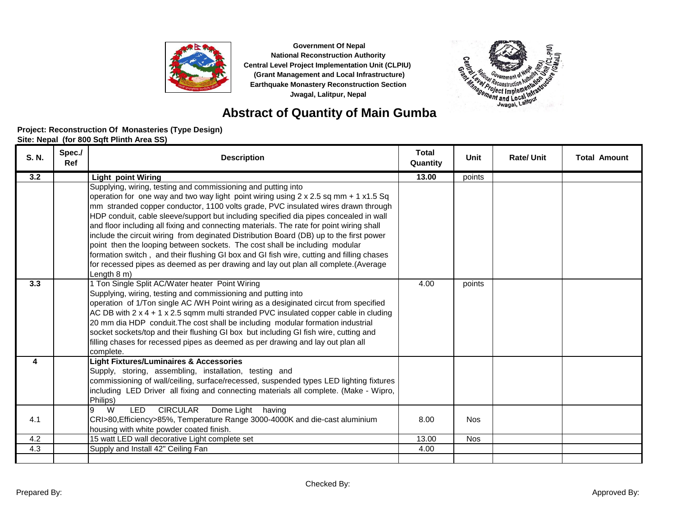



### **Abstract of Quantity of Main Gumba**

#### **Project: Reconstruction Of Monasteries (Type Design)**

| S. N. | Spec./<br><b>Ref</b> | <b>Description</b>                                                                                                                                                                                                                                                                                                                                                                                                                                                                                                                                                                                                                                                                                                                                                                                                 | <b>Total</b><br>Quantity | Unit       | <b>Rate/Unit</b> | <b>Total Amount</b> |
|-------|----------------------|--------------------------------------------------------------------------------------------------------------------------------------------------------------------------------------------------------------------------------------------------------------------------------------------------------------------------------------------------------------------------------------------------------------------------------------------------------------------------------------------------------------------------------------------------------------------------------------------------------------------------------------------------------------------------------------------------------------------------------------------------------------------------------------------------------------------|--------------------------|------------|------------------|---------------------|
| 3.2   |                      | <b>Light point Wiring</b>                                                                                                                                                                                                                                                                                                                                                                                                                                                                                                                                                                                                                                                                                                                                                                                          | 13.00                    | points     |                  |                     |
|       |                      | Supplying, wiring, testing and commissioning and putting into<br>operation for one way and two way light point wiring using $2 \times 2.5$ sq mm + 1 x1.5 Sq<br>mm stranded copper conductor, 1100 volts grade, PVC insulated wires drawn through<br>HDP conduit, cable sleeve/support but including specified dia pipes concealed in wall<br>and floor including all fixing and connecting materials. The rate for point wiring shall<br>include the circuit wiring from deginated Distribution Board (DB) up to the first power<br>point then the looping between sockets. The cost shall be including modular<br>formation switch, and their flushing GI box and GI fish wire, cutting and filling chases<br>for recessed pipes as deemed as per drawing and lay out plan all complete. (Average<br>Length 8 m) |                          |            |                  |                     |
| 3.3   |                      | 1 Ton Single Split AC/Water heater Point Wiring<br>Supplying, wiring, testing and commissioning and putting into<br>operation of 1/Ton single AC /WH Point wiring as a desiginated circut from specified<br>AC DB with $2 \times 4 + 1 \times 2.5$ sqmm multi stranded PVC insulated copper cable in cluding<br>20 mm dia HDP conduit. The cost shall be including modular formation industrial<br>socket sockets/top and their flushing GI box but including GI fish wire, cutting and<br>filling chases for recessed pipes as deemed as per drawing and lay out plan all<br>complete.                                                                                                                                                                                                                            | 4.00                     | points     |                  |                     |
| 4     |                      | <b>Light Fixtures/Luminaires &amp; Accessories</b><br>Supply, storing, assembling, installation, testing and<br>commissioning of wall/ceiling, surface/recessed, suspended types LED lighting fixtures<br>including LED Driver all fixing and connecting materials all complete. (Make - Wipro,<br>Philips)                                                                                                                                                                                                                                                                                                                                                                                                                                                                                                        |                          |            |                  |                     |
| 4.1   |                      | <b>CIRCULAR</b><br>W<br><b>LED</b><br>Dome Light having<br>9<br>CRI>80, Efficiency>85%, Temperature Range 3000-4000K and die-cast aluminium<br>housing with white powder coated finish.                                                                                                                                                                                                                                                                                                                                                                                                                                                                                                                                                                                                                            | 8.00                     | <b>Nos</b> |                  |                     |
| 4.2   |                      | 15 watt LED wall decorative Light complete set                                                                                                                                                                                                                                                                                                                                                                                                                                                                                                                                                                                                                                                                                                                                                                     | 13.00                    | <b>Nos</b> |                  |                     |
| 4.3   |                      | Supply and Install 42" Ceiling Fan                                                                                                                                                                                                                                                                                                                                                                                                                                                                                                                                                                                                                                                                                                                                                                                 | 4.00                     |            |                  |                     |
|       |                      |                                                                                                                                                                                                                                                                                                                                                                                                                                                                                                                                                                                                                                                                                                                                                                                                                    |                          |            |                  |                     |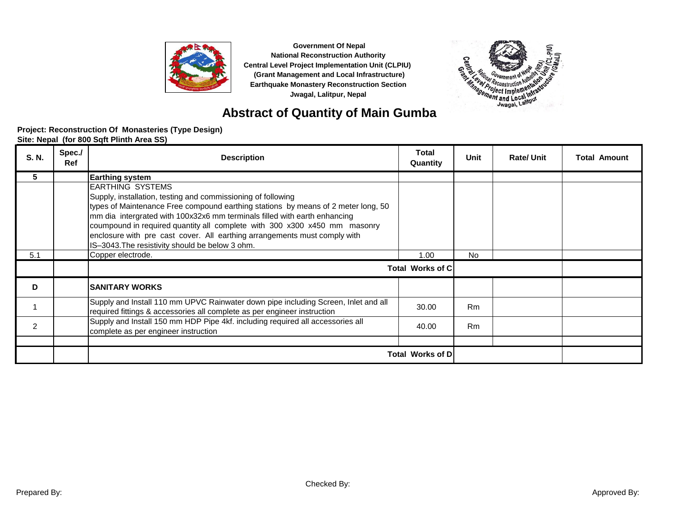



### **Abstract of Quantity of Main Gumba**

#### **Project: Reconstruction Of Monasteries (Type Design)**

| S. N. | Spec./<br><b>Ref</b> | <b>Description</b>                                                                                                                                                                                                                                                                                                                                                                                                                                                     | <b>Total</b><br>Quantity | Unit           | <b>Rate/Unit</b> | <b>Total Amount</b> |
|-------|----------------------|------------------------------------------------------------------------------------------------------------------------------------------------------------------------------------------------------------------------------------------------------------------------------------------------------------------------------------------------------------------------------------------------------------------------------------------------------------------------|--------------------------|----------------|------------------|---------------------|
| 5     |                      | <b>Earthing system</b>                                                                                                                                                                                                                                                                                                                                                                                                                                                 |                          |                |                  |                     |
|       |                      | <b>EARTHING SYSTEMS</b><br>Supply, installation, testing and commissioning of following<br>types of Maintenance Free compound earthing stations by means of 2 meter long, 50<br>mm dia intergrated with 100x32x6 mm terminals filled with earth enhancing<br>coumpound in required quantity all complete with 300 x300 x450 mm masonry<br>enclosure with pre cast cover. All earthing arrangements must comply with<br>IS-3043. The resistivity should be below 3 ohm. |                          |                |                  |                     |
| 5.1   |                      | Copper electrode.                                                                                                                                                                                                                                                                                                                                                                                                                                                      | 1.00                     | No.            |                  |                     |
|       |                      |                                                                                                                                                                                                                                                                                                                                                                                                                                                                        | <b>Total Works of Cl</b> |                |                  |                     |
| D     |                      | <b>SANITARY WORKS</b>                                                                                                                                                                                                                                                                                                                                                                                                                                                  |                          |                |                  |                     |
|       |                      | Supply and Install 110 mm UPVC Rainwater down pipe including Screen, Inlet and all<br>required fittings & accessories all complete as per engineer instruction                                                                                                                                                                                                                                                                                                         | 30.00                    | R <sub>m</sub> |                  |                     |
| 2     |                      | Supply and Install 150 mm HDP Pipe 4kf. including required all accessories all<br>complete as per engineer instruction                                                                                                                                                                                                                                                                                                                                                 | 40.00                    | <b>Rm</b>      |                  |                     |
|       |                      |                                                                                                                                                                                                                                                                                                                                                                                                                                                                        |                          |                |                  |                     |
|       |                      |                                                                                                                                                                                                                                                                                                                                                                                                                                                                        | Total Works of D         |                |                  |                     |